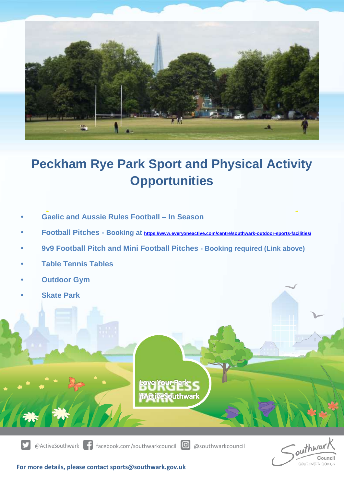

## **Peckham Rye Park Sport and Physical Activity Opportunities**

- **Gaelic and Aussie Rules Football – In Season**
- **• Football Pitches - Booking at <https://www.everyoneactive.com/centre/southwark-outdoor-sports-facilities/>**
- **• 9v9 Football Pitch and Mini Football Pitches - Booking required (Link above)**
- **• Table Tennis Tables**
- **• Outdoor Gym**
- **• Skate Park**



@ActiveSouthwark facebook.com/southwarkcouncil @ @southwarkcouncil



**For more details, please contact sports@southwark.gov.uk**